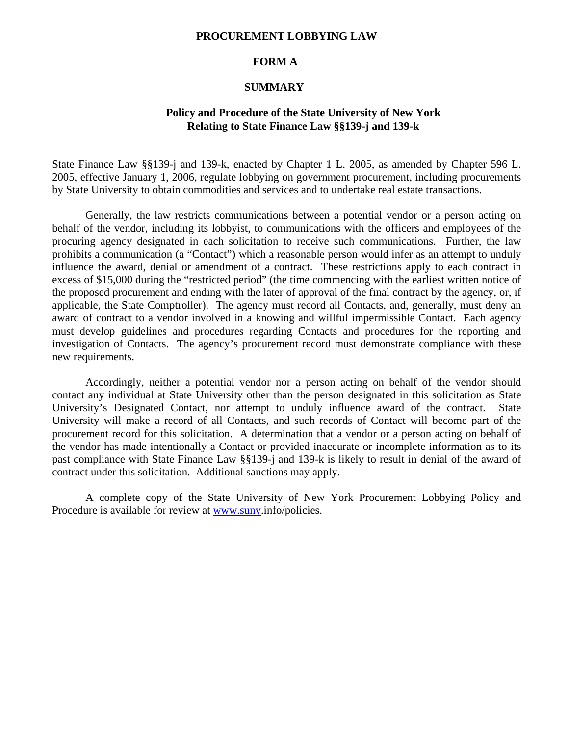#### **PROCUREMENT LOBBYING LAW**

### **FORM A**

#### **SUMMARY**

### **Policy and Procedure of the State University of New York Relating to State Finance Law §§139-j and 139-k**

State Finance Law §§139-j and 139-k, enacted by Chapter 1 L. 2005, as amended by Chapter 596 L. 2005, effective January 1, 2006, regulate lobbying on government procurement, including procurements by State University to obtain commodities and services and to undertake real estate transactions.

Generally, the law restricts communications between a potential vendor or a person acting on behalf of the vendor, including its lobbyist, to communications with the officers and employees of the procuring agency designated in each solicitation to receive such communications. Further, the law prohibits a communication (a "Contact") which a reasonable person would infer as an attempt to unduly influence the award, denial or amendment of a contract. These restrictions apply to each contract in excess of \$15,000 during the "restricted period" (the time commencing with the earliest written notice of the proposed procurement and ending with the later of approval of the final contract by the agency, or, if applicable, the State Comptroller). The agency must record all Contacts, and, generally, must deny an award of contract to a vendor involved in a knowing and willful impermissible Contact. Each agency must develop guidelines and procedures regarding Contacts and procedures for the reporting and investigation of Contacts. The agency's procurement record must demonstrate compliance with these new requirements.

Accordingly, neither a potential vendor nor a person acting on behalf of the vendor should contact any individual at State University other than the person designated in this solicitation as State University's Designated Contact, nor attempt to unduly influence award of the contract. State University will make a record of all Contacts, and such records of Contact will become part of the procurement record for this solicitation. A determination that a vendor or a person acting on behalf of the vendor has made intentionally a Contact or provided inaccurate or incomplete information as to its past compliance with State Finance Law §§139-j and 139-k is likely to result in denial of the award of contract under this solicitation. Additional sanctions may apply.

A complete copy of the State University of New York Procurement Lobbying Policy and Procedure is available for review at www.suny.info/policies.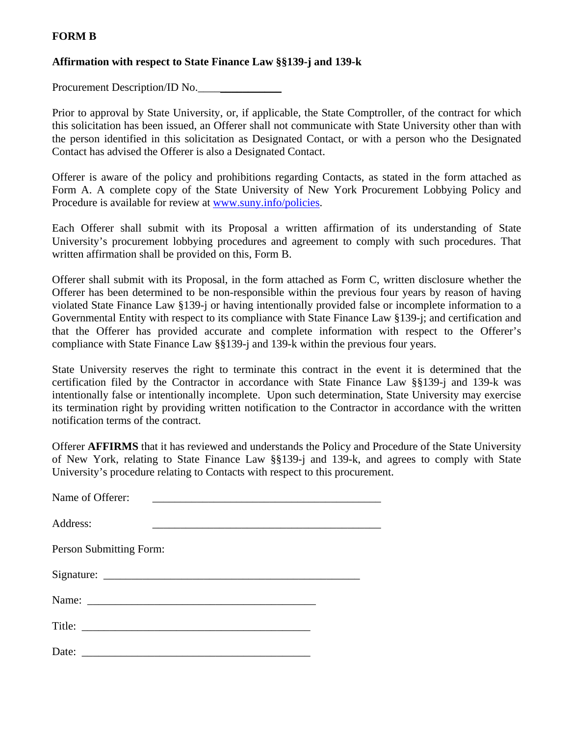## **FORM B**

## **Affirmation with respect to State Finance Law §§139-j and 139-k**

Procurement Description/ID No.

Prior to approval by State University, or, if applicable, the State Comptroller, of the contract for which this solicitation has been issued, an Offerer shall not communicate with State University other than with the person identified in this solicitation as Designated Contact, or with a person who the Designated Contact has advised the Offerer is also a Designated Contact.

Offerer is aware of the policy and prohibitions regarding Contacts, as stated in the form attached as Form A. A complete copy of the State University of New York Procurement Lobbying Policy and Procedure is available for review at www.suny.info/policies.

Each Offerer shall submit with its Proposal a written affirmation of its understanding of State University's procurement lobbying procedures and agreement to comply with such procedures. That written affirmation shall be provided on this, Form B.

Offerer shall submit with its Proposal, in the form attached as Form C, written disclosure whether the Offerer has been determined to be non-responsible within the previous four years by reason of having violated State Finance Law §139-j or having intentionally provided false or incomplete information to a Governmental Entity with respect to its compliance with State Finance Law §139-j; and certification and that the Offerer has provided accurate and complete information with respect to the Offerer's compliance with State Finance Law §§139-j and 139-k within the previous four years.

State University reserves the right to terminate this contract in the event it is determined that the certification filed by the Contractor in accordance with State Finance Law §§139-j and 139-k was intentionally false or intentionally incomplete. Upon such determination, State University may exercise its termination right by providing written notification to the Contractor in accordance with the written notification terms of the contract.

Offerer **AFFIRMS** that it has reviewed and understands the Policy and Procedure of the State University of New York, relating to State Finance Law §§139-j and 139-k, and agrees to comply with State University's procedure relating to Contacts with respect to this procurement.

| Name of Offerer:        |  |
|-------------------------|--|
| Address:                |  |
| Person Submitting Form: |  |
|                         |  |
| Name:                   |  |
|                         |  |
| Date: $\frac{1}{2}$     |  |